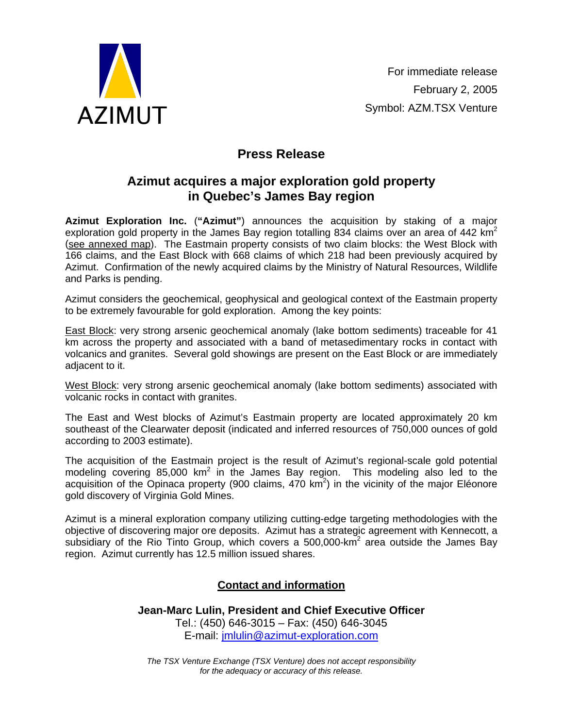

## **Press Release**

## **Azimut acquires a major exploration gold property in Quebec's James Bay region**

**Azimut Exploration Inc.** (**"Azimut"**) announces the acquisition by staking of a major exploration gold property in the James Bay region totalling 834 claims over an area of 442  $km^2$ (see annexed map). The Eastmain property consists of two claim blocks: the West Block with 166 claims, and the East Block with 668 claims of which 218 had been previously acquired by Azimut. Confirmation of the newly acquired claims by the Ministry of Natural Resources, Wildlife and Parks is pending.

Azimut considers the geochemical, geophysical and geological context of the Eastmain property to be extremely favourable for gold exploration. Among the key points:

East Block: very strong arsenic geochemical anomaly (lake bottom sediments) traceable for 41 km across the property and associated with a band of metasedimentary rocks in contact with volcanics and granites. Several gold showings are present on the East Block or are immediately adjacent to it.

West Block: very strong arsenic geochemical anomaly (lake bottom sediments) associated with volcanic rocks in contact with granites.

The East and West blocks of Azimut's Eastmain property are located approximately 20 km southeast of the Clearwater deposit (indicated and inferred resources of 750,000 ounces of gold according to 2003 estimate).

The acquisition of the Eastmain project is the result of Azimut's regional-scale gold potential modeling covering 85,000  $km^2$  in the James Bay region. This modeling also led to the acquisition of the Opinaca property (900 claims, 470 km<sup>2</sup>) in the vicinity of the major Eléonore gold discovery of Virginia Gold Mines.

Azimut is a mineral exploration company utilizing cutting-edge targeting methodologies with the objective of discovering major ore deposits. Azimut has a strategic agreement with Kennecott, a subsidiary of the Rio Tinto Group, which covers a 500,000-km<sup>2</sup> area outside the James Bay region. Azimut currently has 12.5 million issued shares.

## **Contact and information**

**Jean-Marc Lulin, President and Chief Executive Officer**  Tel.: (450) 646-3015 – Fax: (450) 646-3045 E-mail: [jmlulin@azimut-exploration.com](mailto:jmlulin@azimut-exploration.com)

*The TSX Venture Exchange (TSX Venture) does not accept responsibility for the adequacy or accuracy of this release.*